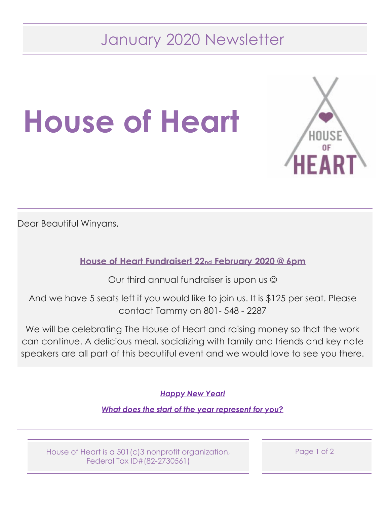## January 2020 Newsletter





Dear Beautiful Winyans,

**House of Heart Fundraiser! 22nd February 2020 @ 6pm**

Our third annual fundraiser is upon us  $\odot$ 

And we have 5 seats left if you would like to join us. It is \$125 per seat. Please contact Tammy on 801- 548 - 2287

We will be celebrating The House of Heart and raising money so that the work can continue. A delicious meal, socializing with family and friends and key note speakers are all part of this beautiful event and we would love to see you there.

*Happy New Year!*

*What does the start of the year represent for you?*

House of Heart is a 501(c)3 nonprofit organization, Federal Tax ID#(82-2730561)

Page 1 of 2